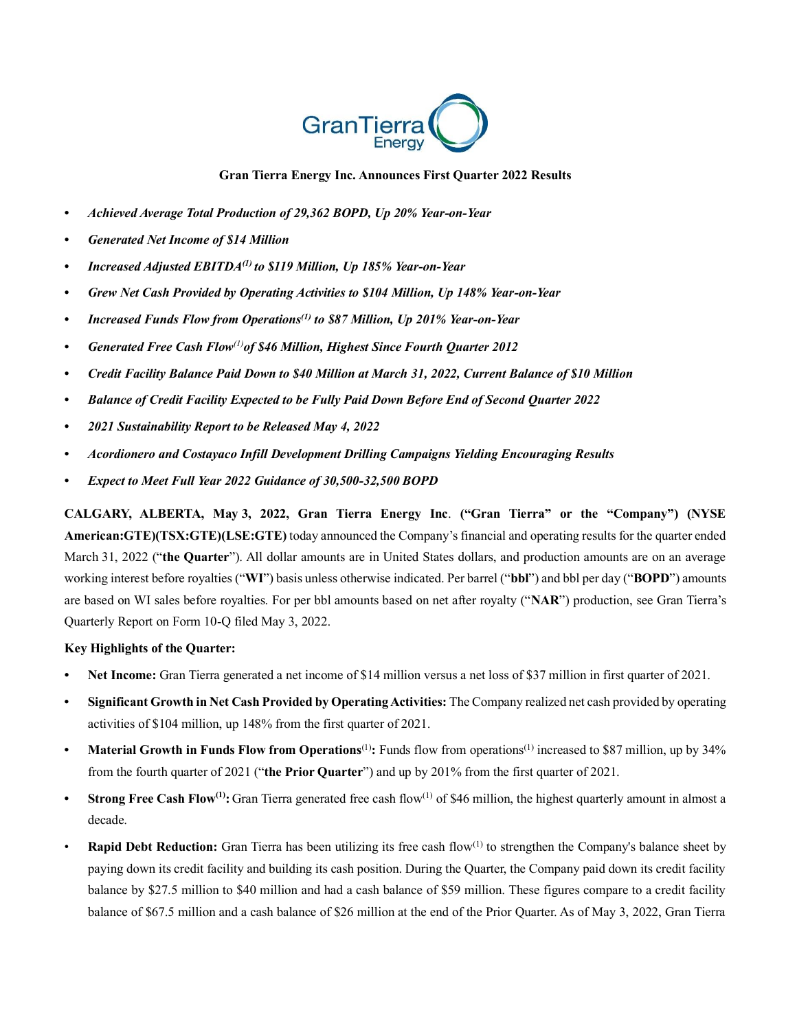

# **Gran Tierra Energy Inc. Announces First Quarter 2022 Results**

- *• Achieved Average Total Production of 29,362 BOPD, Up 20% Year-on-Year*
- *• Generated Net Income of \$14 Million*
- *• Increased Adjusted EBITDA(1) to \$119 Million, Up 185% Year-on-Year*
- *• Grew Net Cash Provided by Operating Activities to \$104 Million, Up 148% Year-on-Year*
- *• Increased Funds Flow from Operations(1) to \$87 Million, Up 201% Year-on-Year*
- *• Generated Free Cash Flow(1)of \$46 Million, Highest Since Fourth Quarter 2012*
- *• Credit Facility Balance Paid Down to \$40 Million at March 31, 2022, Current Balance of \$10 Million*
- *• Balance of Credit Facility Expected to be Fully Paid Down Before End of Second Quarter 2022*
- *• 2021 Sustainability Report to be Released May 4, 2022*
- *• Acordionero and Costayaco Infill Development Drilling Campaigns Yielding Encouraging Results*
- *• Expect to Meet Full Year 2022 Guidance of 30,500-32,500 BOPD*

**CALGARY, ALBERTA, May 3, 2022, Gran Tierra Energy Inc**. **("Gran Tierra" or the "Company") (NYSE American:GTE)(TSX:GTE)(LSE:GTE)** today announced the Company's financial and operating results for the quarter ended March 31, 2022 ("**the Quarter**"). All dollar amounts are in United States dollars, and production amounts are on an average working interest before royalties ("**WI**") basis unless otherwise indicated. Per barrel ("**bbl**") and bbl per day ("**BOPD**") amounts are based on WI sales before royalties. For per bbl amounts based on net after royalty ("**NAR**") production, see Gran Tierra's Quarterly Report on Form 10-Q filed May 3, 2022.

# **Key Highlights of the Quarter:**

- *•* **Net Income:** Gran Tierra generated a net income of \$14 million versus a net loss of \$37 million in first quarter of 2021.
- **• Significant Growth in Net Cash Provided by Operating Activities:** The Company realized net cash provided by operating activities of \$104 million, up 148% from the first quarter of 2021.
- **• Material Growth in Funds Flow from Operations**(1)**:** Funds flow from operations(1) increased to \$87 million, up by 34% from the fourth quarter of 2021 ("**the Prior Quarter**") and up by 201% from the first quarter of 2021.
- **Strong Free Cash Flow<sup>(1)</sup>**: Gran Tierra generated free cash flow<sup>(1)</sup> of \$46 million, the highest quarterly amount in almost a decade.
- **Rapid Debt Reduction:** Gran Tierra has been utilizing its free cash flow<sup>(1)</sup> to strengthen the Company's balance sheet by paying down its credit facility and building its cash position. During the Quarter, the Company paid down its credit facility balance by \$27.5 million to \$40 million and had a cash balance of \$59 million. These figures compare to a credit facility balance of \$67.5 million and a cash balance of \$26 million at the end of the Prior Quarter. As of May 3, 2022, Gran Tierra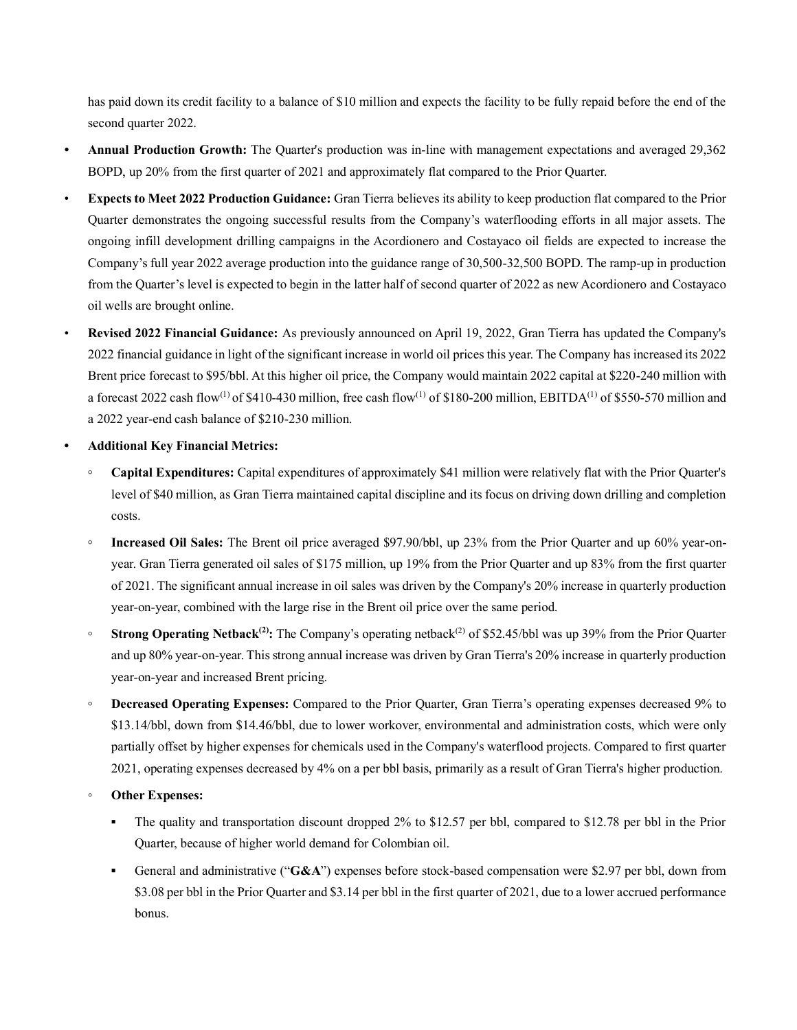has paid down its credit facility to a balance of \$10 million and expects the facility to be fully repaid before the end of the second quarter 2022.

- *•* **Annual Production Growth:** The Quarter's production was in-line with management expectations and averaged 29,362 BOPD, up 20% from the first quarter of 2021 and approximately flat compared to the Prior Quarter.
- **Expects to Meet 2022 Production Guidance:** Gran Tierra believes its ability to keep production flat compared to the Prior Quarter demonstrates the ongoing successful results from the Company's waterflooding efforts in all major assets. The ongoing infill development drilling campaigns in the Acordionero and Costayaco oil fields are expected to increase the Company's full year 2022 average production into the guidance range of 30,500-32,500 BOPD. The ramp-up in production from the Quarter's level is expected to begin in the latter half of second quarter of 2022 as new Acordionero and Costayaco oil wells are brought online.
- **Revised 2022 Financial Guidance:** As previously announced on April 19, 2022, Gran Tierra has updated the Company's 2022 financial guidance in light of the significant increase in world oil prices this year. The Company has increased its 2022 Brent price forecast to \$95/bbl. At this higher oil price, the Company would maintain 2022 capital at \$220-240 million with a forecast 2022 cash flow<sup>(1)</sup> of \$410-430 million, free cash flow<sup>(1)</sup> of \$180-200 million, EBITDA<sup>(1)</sup> of \$550-570 million and a 2022 year-end cash balance of \$210-230 million.
- **• Additional Key Financial Metrics:**
	- *◦* **Capital Expenditures:** Capital expenditures of approximately \$41 million were relatively flat with the Prior Quarter's level of \$40 million, as Gran Tierra maintained capital discipline and its focus on driving down drilling and completion costs.
	- **◦ Increased Oil Sales:** The Brent oil price averaged \$97.90/bbl, up 23% from the Prior Quarter and up 60% year-onyear. Gran Tierra generated oil sales of \$175 million, up 19% from the Prior Quarter and up 83% from the first quarter of 2021. The significant annual increase in oil sales was driven by the Company's 20% increase in quarterly production year-on-year, combined with the large rise in the Brent oil price over the same period.
	- *◦* **Strong Operating Netback(2):** The Company's operating netback(2) of \$52.45/bbl was up 39% from the Prior Quarter and up 80% year-on-year. This strong annual increase was driven by Gran Tierra's 20% increase in quarterly production year-on-year and increased Brent pricing.
	- *◦* **Decreased Operating Expenses:** Compared to the Prior Quarter, Gran Tierra's operating expenses decreased 9% to \$13.14/bbl, down from \$14.46/bbl, due to lower workover, environmental and administration costs, which were only partially offset by higher expenses for chemicals used in the Company's waterflood projects. Compared to first quarter 2021, operating expenses decreased by 4% on a per bbl basis, primarily as a result of Gran Tierra's higher production.
	- **Other Expenses:**
		- The quality and transportation discount dropped 2% to \$12.57 per bbl, compared to \$12.78 per bbl in the Prior Quarter, because of higher world demand for Colombian oil.
		- General and administrative ("G&A") expenses before stock-based compensation were \$2.97 per bbl, down from \$3.08 per bbl in the Prior Quarter and \$3.14 per bbl in the first quarter of 2021, due to a lower accrued performance bonus.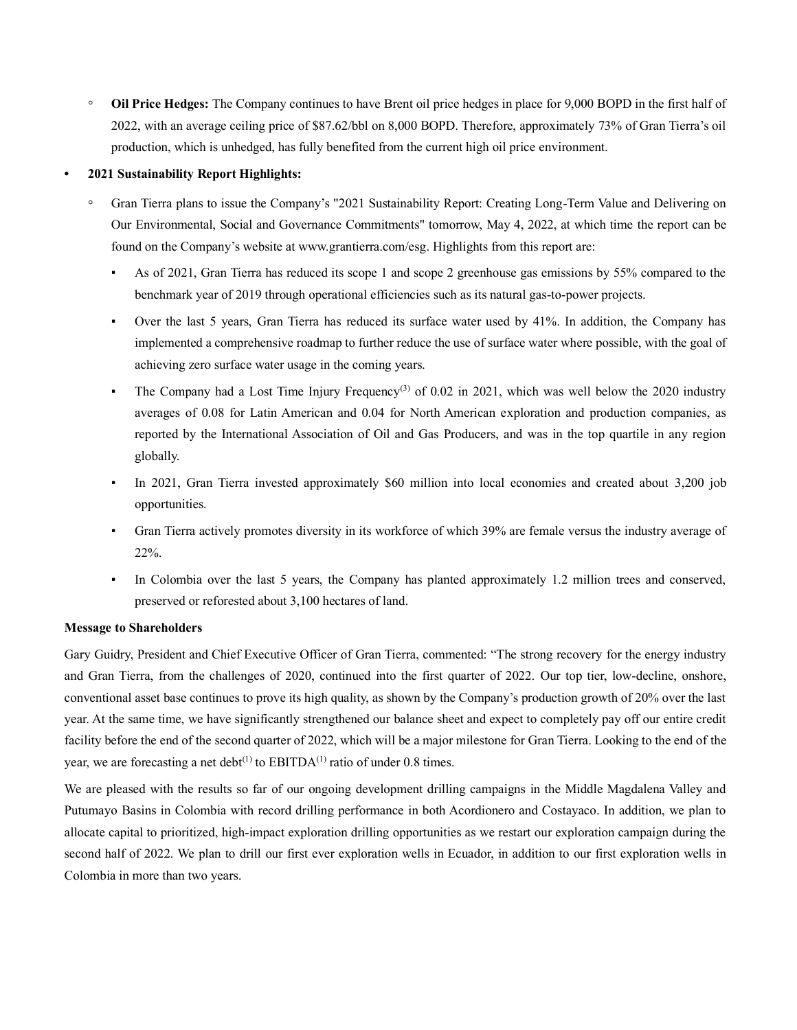◦ **Oil Price Hedges:** The Company continues to have Brent oil price hedges in place for 9,000 BOPD in the first half of 2022, with an average ceiling price of \$87.62/bbl on 8,000 BOPD. Therefore, approximately 73% of Gran Tierra's oil production, which is unhedged, has fully benefited from the current high oil price environment.

### **• 2021 Sustainability Report Highlights:**

- Gran Tierra plans to issue the Company's "2021 Sustainability Report: Creating Long-Term Value and Delivering on Our Environmental, Social and Governance Commitments" tomorrow, May 4, 2022, at which time the report can be found on the Company's website at www.grantierra.com/esg. Highlights from this report are:
	- As of 2021, Gran Tierra has reduced its scope 1 and scope 2 greenhouse gas emissions by 55% compared to the benchmark year of 2019 through operational efficiencies such as its natural gas-to-power projects.
	- Over the last 5 years, Gran Tierra has reduced its surface water used by 41%. In addition, the Company has implemented a comprehensive roadmap to further reduce the use of surface water where possible, with the goal of achieving zero surface water usage in the coming years.
	- The Company had a Lost Time Injury Frequency<sup>(3)</sup> of 0.02 in 2021, which was well below the 2020 industry averages of 0.08 for Latin American and 0.04 for North American exploration and production companies, as reported by the International Association of Oil and Gas Producers, and was in the top quartile in any region globally.
	- In 2021, Gran Tierra invested approximately \$60 million into local economies and created about 3,200 job opportunities.
	- Gran Tierra actively promotes diversity in its workforce of which 39% are female versus the industry average of 22%.
	- In Colombia over the last 5 years, the Company has planted approximately 1.2 million trees and conserved, preserved or reforested about 3,100 hectares of land.

### **Message to Shareholders**

Gary Guidry, President and Chief Executive Officer of Gran Tierra, commented: "The strong recovery for the energy industry and Gran Tierra, from the challenges of 2020, continued into the first quarter of 2022. Our top tier, low-decline, onshore, conventional asset base continues to prove its high quality, as shown by the Company's production growth of 20% over the last year. At the same time, we have significantly strengthened our balance sheet and expect to completely pay off our entire credit facility before the end of the second quarter of 2022, which will be a major milestone for Gran Tierra. Looking to the end of the year, we are forecasting a net debt<sup>(1)</sup> to EBITDA<sup>(1)</sup> ratio of under 0.8 times.

We are pleased with the results so far of our ongoing development drilling campaigns in the Middle Magdalena Valley and Putumayo Basins in Colombia with record drilling performance in both Acordionero and Costayaco. In addition, we plan to allocate capital to prioritized, high-impact exploration drilling opportunities as we restart our exploration campaign during the second half of 2022. We plan to drill our first ever exploration wells in Ecuador, in addition to our first exploration wells in Colombia in more than two years.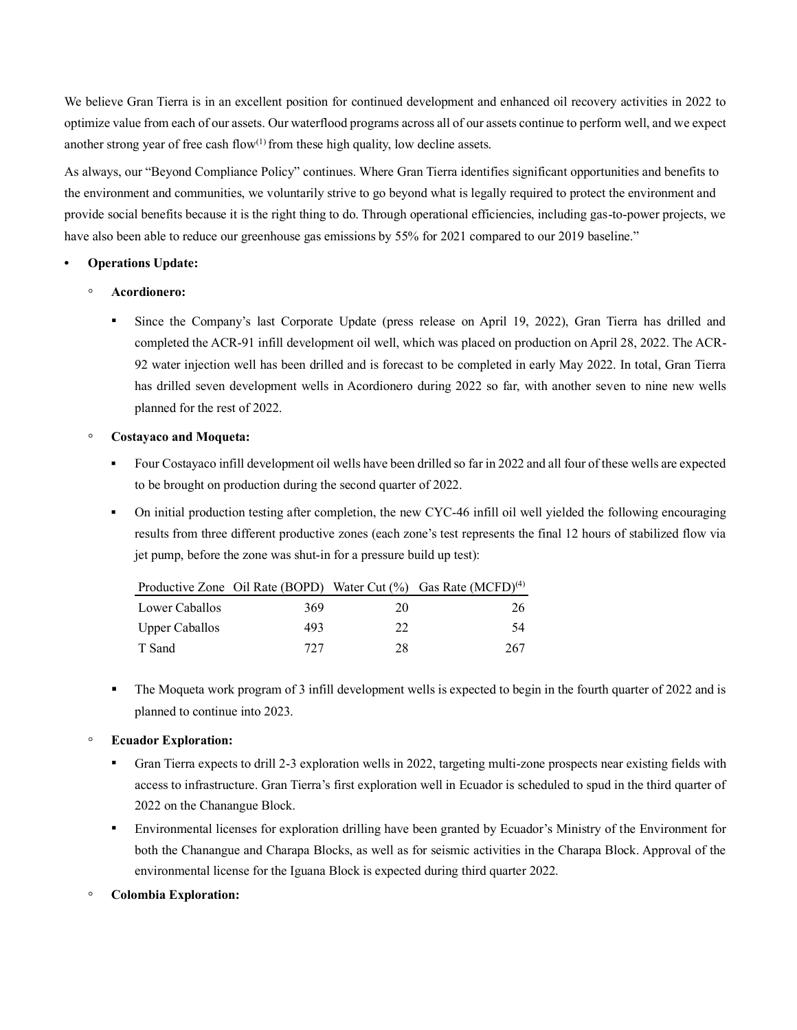We believe Gran Tierra is in an excellent position for continued development and enhanced oil recovery activities in 2022 to optimize value from each of our assets. Our waterflood programs across all of our assets continue to perform well, and we expect another strong year of free cash flow $(1)$  from these high quality, low decline assets.

As always, our "Beyond Compliance Policy" continues. Where Gran Tierra identifies significant opportunities and benefits to the environment and communities, we voluntarily strive to go beyond what is legally required to protect the environment and provide social benefits because it is the right thing to do. Through operational efficiencies, including gas-to-power projects, we have also been able to reduce our greenhouse gas emissions by 55% for 2021 compared to our 2019 baseline."

## **• Operations Update:**

## ◦ **Acordionero:**

Since the Company's last Corporate Update (press release on April 19, 2022), Gran Tierra has drilled and completed the ACR-91 infill development oil well, which was placed on production on April 28, 2022. The ACR-92 water injection well has been drilled and is forecast to be completed in early May 2022. In total, Gran Tierra has drilled seven development wells in Acordionero during 2022 so far, with another seven to nine new wells planned for the rest of 2022.

## ◦ **Costayaco and Moqueta:**

- **▪** Four Costayaco infill development oil wells have been drilled so far in 2022 and all four of these wells are expected to be brought on production during the second quarter of 2022.
- **▪** On initial production testing after completion, the new CYC-46 infill oil well yielded the following encouraging results from three different productive zones (each zone's test represents the final 12 hours of stabilized flow via jet pump, before the zone was shut-in for a pressure build up test):

|                |     |    | Productive Zone Oil Rate (BOPD) Water Cut $(\%)$ Gas Rate $(MCFD)^{(4)}$ |
|----------------|-----|----|--------------------------------------------------------------------------|
| Lower Caballos | 369 | 20 | 26                                                                       |
| Upper Caballos | 493 | フフ | -54                                                                      |
| T Sand         | 727 | 28 | 267                                                                      |

The Moqueta work program of 3 infill development wells is expected to begin in the fourth quarter of 2022 and is planned to continue into 2023.

# ◦ **Ecuador Exploration:**

- Gran Tierra expects to drill 2-3 exploration wells in 2022, targeting multi-zone prospects near existing fields with access to infrastructure. Gran Tierra's first exploration well in Ecuador is scheduled to spud in the third quarter of 2022 on the Chanangue Block.
- Environmental licenses for exploration drilling have been granted by Ecuador's Ministry of the Environment for both the Chanangue and Charapa Blocks, as well as for seismic activities in the Charapa Block. Approval of the environmental license for the Iguana Block is expected during third quarter 2022.
- **Colombia Exploration:**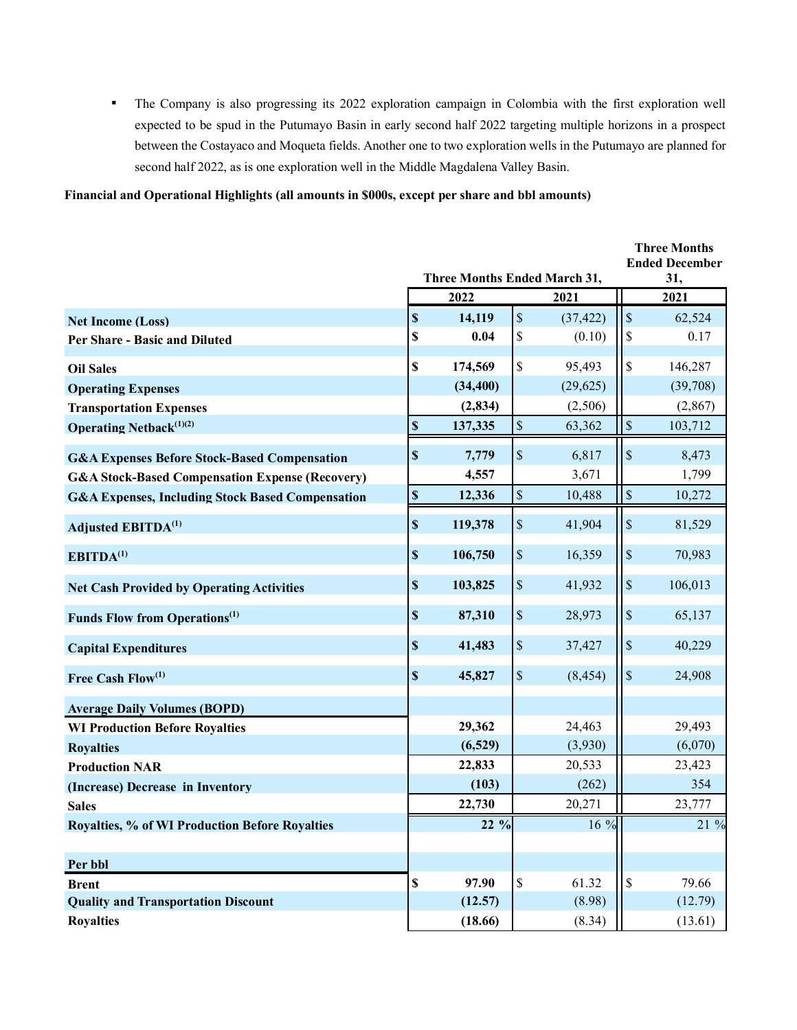▪ The Company is also progressing its 2022 exploration campaign in Colombia with the first exploration well expected to be spud in the Putumayo Basin in early second half 2022 targeting multiple horizons in a prospect between the Costayaco and Moqueta fields. Another one to two exploration wells in the Putumayo are planned for second half 2022, as is one exploration well in the Middle Magdalena Valley Basin.

# **Financial and Operational Highlights (all amounts in \$000s, except per share and bbl amounts)**

|                                                             | <b>Three Months Ended March 31,</b> |           |                   |           | <b>Three Months</b><br><b>Ended December</b><br>31, |          |  |
|-------------------------------------------------------------|-------------------------------------|-----------|-------------------|-----------|-----------------------------------------------------|----------|--|
|                                                             | 2022                                |           |                   | 2021      | 2021                                                |          |  |
| <b>Net Income (Loss)</b>                                    | $\boldsymbol{\mathsf{S}}$           | 14,119    | $\mathbb{S}$      | (37, 422) | $\mathcal{S}$                                       | 62,524   |  |
| <b>Per Share - Basic and Diluted</b>                        | \$                                  | 0.04      | \$                | (0.10)    | \$                                                  | 0.17     |  |
|                                                             |                                     |           |                   |           |                                                     |          |  |
| <b>Oil Sales</b>                                            | \$                                  | 174,569   | \$                | 95,493    | \$                                                  | 146,287  |  |
| <b>Operating Expenses</b>                                   |                                     | (34, 400) |                   | (29, 625) |                                                     | (39,708) |  |
| <b>Transportation Expenses</b>                              |                                     | (2, 834)  |                   | (2,506)   |                                                     | (2,867)  |  |
| <b>Operating Netback</b> $^{(1)(2)}$                        | $\boldsymbol{\mathsf{S}}$           | 137,335   | $\mathbb{S}$      | 63,362    | $\mathcal{S}$                                       | 103,712  |  |
| <b>G&amp;A Expenses Before Stock-Based Compensation</b>     | $\boldsymbol{\mathsf{S}}$           | 7,779     | $\boldsymbol{\$}$ | 6,817     | \$                                                  | 8,473    |  |
| <b>G&amp;A Stock-Based Compensation Expense (Recovery)</b>  |                                     | 4,557     |                   | 3,671     |                                                     | 1,799    |  |
| <b>G&amp;A Expenses, Including Stock Based Compensation</b> | $\mathbb S$                         | 12,336    | $\$$              | 10,488    | $\mathcal{S}$                                       | 10,272   |  |
| <b>Adjusted EBITDA</b> <sup>(1)</sup>                       | $\mathbf S$                         | 119,378   | $\$$              | 41,904    | \$                                                  | 81,529   |  |
| EBITDA <sup>(1)</sup>                                       | $\boldsymbol{\mathsf{S}}$           | 106,750   | $\$$              | 16,359    | \$                                                  | 70,983   |  |
| <b>Net Cash Provided by Operating Activities</b>            | $\boldsymbol{\mathsf{S}}$           | 103,825   | $\$$              | 41,932    | \$                                                  | 106,013  |  |
| <b>Funds Flow from Operations</b> <sup>(1)</sup>            | $\mathbb S$                         | 87,310    | $\$$              | 28,973    | \$                                                  | 65,137   |  |
| <b>Capital Expenditures</b>                                 | $\mathbb S$                         | 41,483    | $\$$              | 37,427    | \$                                                  | 40,229   |  |
| Free Cash Flow <sup>(1)</sup>                               | $\boldsymbol{\mathsf{S}}$           | 45,827    | $\$$              | (8, 454)  | \$                                                  | 24,908   |  |
| <b>Average Daily Volumes (BOPD)</b>                         |                                     |           |                   |           |                                                     |          |  |
| <b>WI Production Before Royalties</b>                       |                                     | 29,362    |                   | 24,463    |                                                     | 29,493   |  |
| <b>Royalties</b>                                            |                                     | (6,529)   |                   | (3,930)   |                                                     | (6,070)  |  |
| <b>Production NAR</b>                                       |                                     | 22,833    |                   | 20,533    |                                                     | 23,423   |  |
| (Increase) Decrease in Inventory                            |                                     | (103)     |                   | (262)     |                                                     | 354      |  |
| <b>Sales</b>                                                |                                     | 22,730    |                   | 20,271    |                                                     | 23,777   |  |
| Royalties, % of WI Production Before Royalties              |                                     | $22\%$    |                   | $16\%$    |                                                     | 21 %     |  |
|                                                             |                                     |           |                   |           |                                                     |          |  |
| Per bbl                                                     |                                     |           |                   |           |                                                     |          |  |
| <b>Brent</b>                                                | \$                                  | 97.90     | $\$$              | 61.32     | $\mathcal{S}$                                       | 79.66    |  |
| <b>Quality and Transportation Discount</b>                  |                                     | (12.57)   |                   | (8.98)    |                                                     | (12.79)  |  |
| <b>Royalties</b>                                            |                                     | (18.66)   |                   | (8.34)    |                                                     | (13.61)  |  |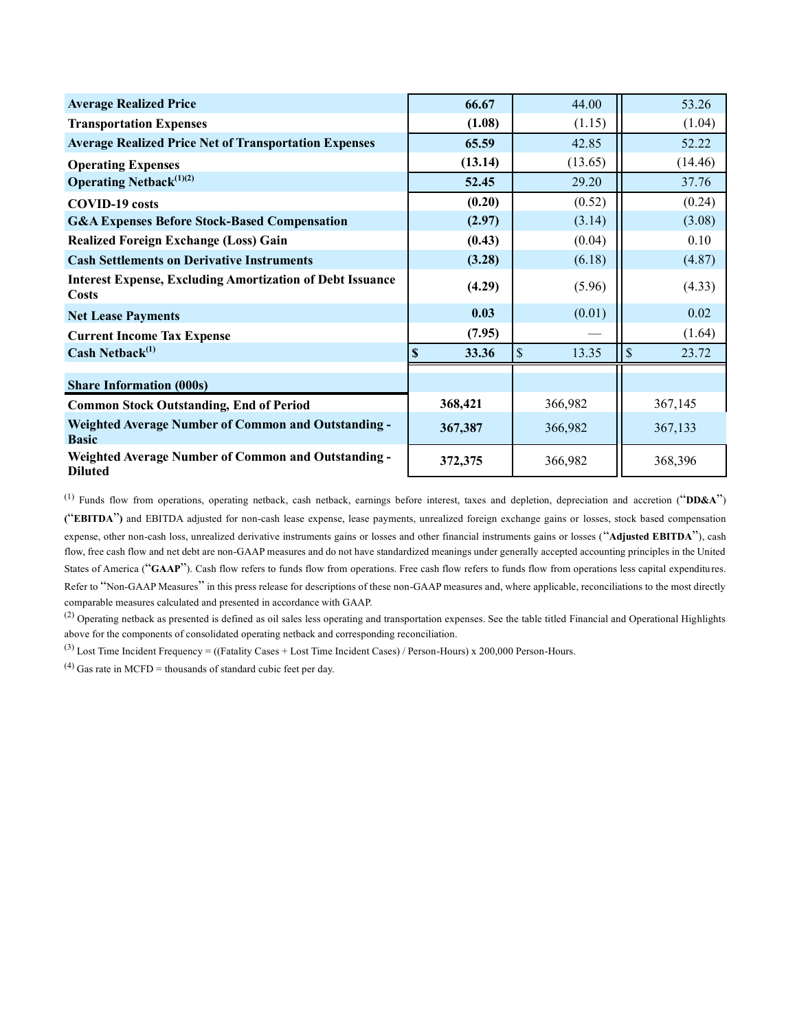| <b>Average Realized Price</b>                                              | 66.67                 | 44.00                  | 53.26                |
|----------------------------------------------------------------------------|-----------------------|------------------------|----------------------|
| <b>Transportation Expenses</b>                                             | (1.08)                | (1.15)                 | (1.04)               |
| <b>Average Realized Price Net of Transportation Expenses</b>               | 65.59                 | 42.85                  | 52.22                |
| <b>Operating Expenses</b>                                                  | (13.14)               | (13.65)                | (14.46)              |
| <b>Operating Netback</b> $^{(1)(2)}$                                       | 52.45                 | 29.20                  | 37.76                |
| <b>COVID-19</b> costs                                                      | (0.20)                | (0.52)                 | (0.24)               |
| <b>G&amp;A Expenses Before Stock-Based Compensation</b>                    | (2.97)                | (3.14)                 | (3.08)               |
| <b>Realized Foreign Exchange (Loss) Gain</b>                               | (0.43)                | (0.04)                 | 0.10                 |
| <b>Cash Settlements on Derivative Instruments</b>                          | (3.28)                | (6.18)                 | (4.87)               |
| <b>Interest Expense, Excluding Amortization of Debt Issuance</b><br>Costs  | (4.29)                | (5.96)                 | (4.33)               |
| <b>Net Lease Payments</b>                                                  | 0.03                  | (0.01)                 | 0.02                 |
| <b>Current Income Tax Expense</b>                                          | (7.95)                |                        | (1.64)               |
| Cash Netback <sup>(1)</sup>                                                | $\mathbf{s}$<br>33.36 | $\mathcal{S}$<br>13.35 | $\sqrt{\ }$<br>23.72 |
| <b>Share Information (000s)</b>                                            |                       |                        |                      |
| <b>Common Stock Outstanding, End of Period</b>                             | 368,421               | 366,982                | 367,145              |
| <b>Weighted Average Number of Common and Outstanding -</b><br><b>Basic</b> | 367,387               | 366,982                | 367,133              |
| Weighted Average Number of Common and Outstanding -<br><b>Diluted</b>      | 372,375               | 366,982                | 368,396              |

(1) Funds flow from operations, operating netback, cash netback, earnings before interest, taxes and depletion, depreciation and accretion ("**DD&A**") **(**"**EBITDA**"**)** and EBITDA adjusted for non-cash lease expense, lease payments, unrealized foreign exchange gains or losses, stock based compensation expense, other non-cash loss, unrealized derivative instruments gains or losses and other financial instruments gains or losses ("**Adjusted EBITDA**"), cash flow, free cash flow and net debt are non-GAAP measures and do not have standardized meanings under generally accepted accounting principles in the United States of America ("**GAAP**"). Cash flow refers to funds flow from operations. Free cash flow refers to funds flow from operations less capital expenditures. Refer to "Non-GAAP Measures" in this press release for descriptions of these non-GAAP measures and, where applicable, reconciliations to the most directly comparable measures calculated and presented in accordance with GAAP.

 $<sup>(2)</sup>$  Operating netback as presented is defined as oil sales less operating and transportation expenses. See the table titled Financial and Operational Highlights</sup> above for the components of consolidated operating netback and corresponding reconciliation.

(3) Lost Time Incident Frequency = ((Fatality Cases + Lost Time Incident Cases) / Person-Hours) x 200,000 Person-Hours.

 $^{(4)}$  Gas rate in MCFD = thousands of standard cubic feet per day.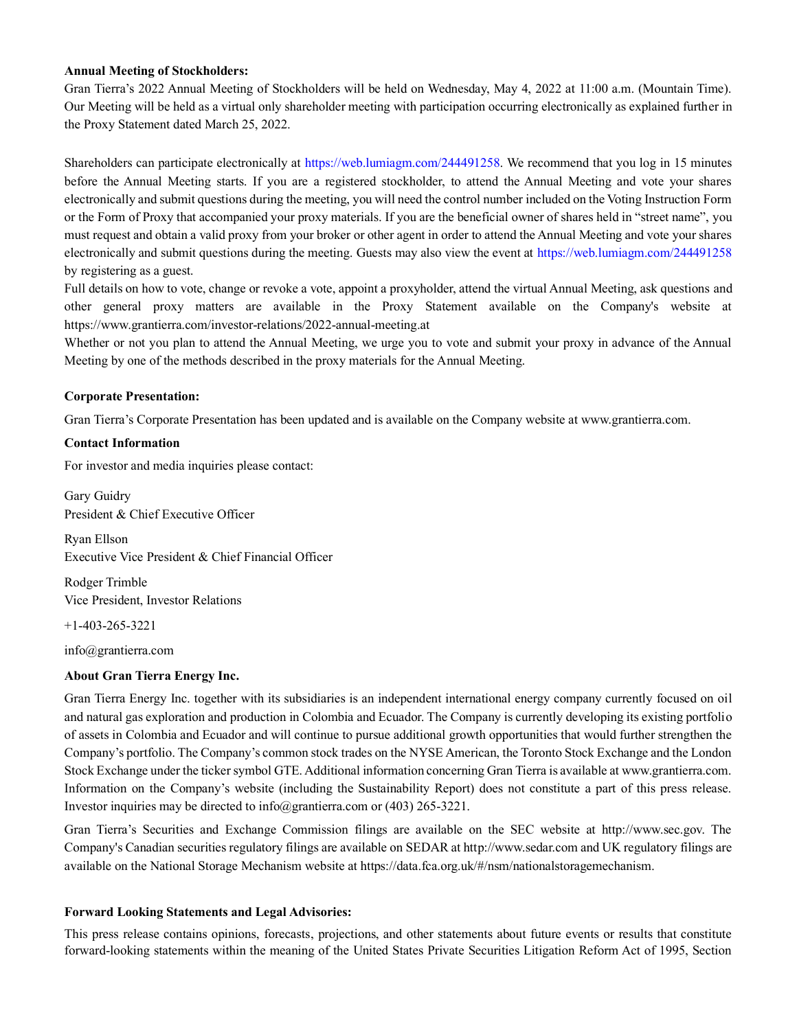## **Annual Meeting of Stockholders:**

Gran Tierra's 2022 Annual Meeting of Stockholders will be held on Wednesday, May 4, 2022 at 11:00 a.m. (Mountain Time). Our Meeting will be held as a virtual only shareholder meeting with participation occurring electronically as explained further in the Proxy Statement dated March 25, 2022.

Shareholders can participate electronically at https://web.lumiagm.com/244491258. We recommend that you log in 15 minutes before the Annual Meeting starts. If you are a registered stockholder, to attend the Annual Meeting and vote your shares electronically and submit questions during the meeting, you will need the control number included on the Voting Instruction Form or the Form of Proxy that accompanied your proxy materials. If you are the beneficial owner of shares held in "street name", you must request and obtain a valid proxy from your broker or other agent in order to attend the Annual Meeting and vote your shares electronically and submit questions during the meeting. Guests may also view the event at https://web.lumiagm.com/244491258 by registering as a guest.

Full details on how to vote, change or revoke a vote, appoint a proxyholder, attend the virtual Annual Meeting, ask questions and other general proxy matters are available in the Proxy Statement available on the Company's website at https://www.grantierra.com/investor-relations/2022-annual-meeting.at

Whether or not you plan to attend the Annual Meeting, we urge you to vote and submit your proxy in advance of the Annual Meeting by one of the methods described in the proxy materials for the Annual Meeting.

## **Corporate Presentation:**

Gran Tierra's Corporate Presentation has been updated and is available on the Company website at www.grantierra.com.

## **Contact Information**

For investor and media inquiries please contact:

Gary Guidry President & Chief Executive Officer

Ryan Ellson Executive Vice President & Chief Financial Officer

Rodger Trimble Vice President, Investor Relations

+1-403-265-3221

info@grantierra.com

# **About Gran Tierra Energy Inc.**

Gran Tierra Energy Inc. together with its subsidiaries is an independent international energy company currently focused on oil and natural gas exploration and production in Colombia and Ecuador. The Company is currently developing its existing portfolio of assets in Colombia and Ecuador and will continue to pursue additional growth opportunities that would further strengthen the Company's portfolio. The Company's common stock trades on the NYSE American, the Toronto Stock Exchange and the London Stock Exchange under the ticker symbol GTE. Additional information concerning Gran Tierra is available at www.grantierra.com. Information on the Company's website (including the Sustainability Report) does not constitute a part of this press release. Investor inquiries may be directed to info@grantierra.com or (403) 265-3221.

Gran Tierra's Securities and Exchange Commission filings are available on the SEC website at http://www.sec.gov. The Company's Canadian securities regulatory filings are available on SEDAR at http://www.sedar.com and UK regulatory filings are available on the National Storage Mechanism website at https://data.fca.org.uk/#/nsm/nationalstoragemechanism.

### **Forward Looking Statements and Legal Advisories:**

This press release contains opinions, forecasts, projections, and other statements about future events or results that constitute forward-looking statements within the meaning of the United States Private Securities Litigation Reform Act of 1995, Section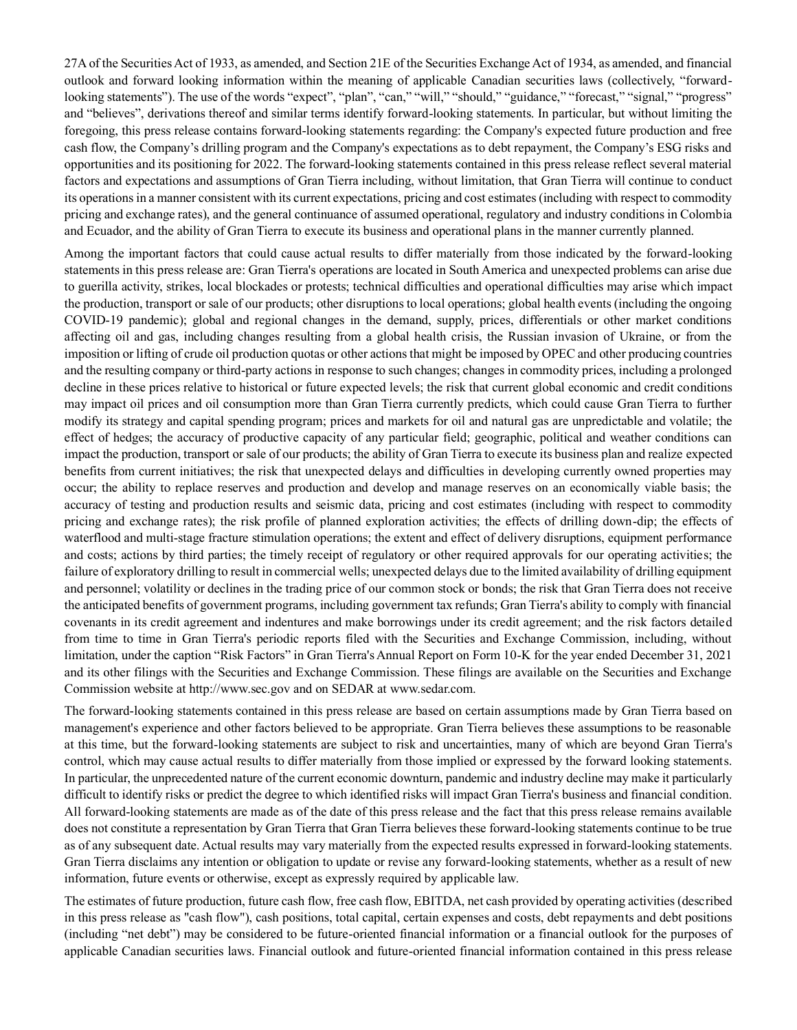27A of the Securities Act of 1933, as amended, and Section 21E of the Securities Exchange Act of 1934, as amended, and financial outlook and forward looking information within the meaning of applicable Canadian securities laws (collectively, "forwardlooking statements"). The use of the words "expect", "plan", "can," "will," "should," "guidance," "forecast," "signal," "progress" and "believes", derivations thereof and similar terms identify forward-looking statements. In particular, but without limiting the foregoing, this press release contains forward-looking statements regarding: the Company's expected future production and free cash flow, the Company's drilling program and the Company's expectations as to debt repayment, the Company's ESG risks and opportunities and its positioning for 2022. The forward-looking statements contained in this press release reflect several material factors and expectations and assumptions of Gran Tierra including, without limitation, that Gran Tierra will continue to conduct its operations in a manner consistent with its current expectations, pricing and cost estimates (including with respect to commodity pricing and exchange rates), and the general continuance of assumed operational, regulatory and industry conditions in Colombia and Ecuador, and the ability of Gran Tierra to execute its business and operational plans in the manner currently planned.

Among the important factors that could cause actual results to differ materially from those indicated by the forward-looking statements in this press release are: Gran Tierra's operations are located in South America and unexpected problems can arise due to guerilla activity, strikes, local blockades or protests; technical difficulties and operational difficulties may arise which impact the production, transport or sale of our products; other disruptions to local operations; global health events (including the ongoing COVID-19 pandemic); global and regional changes in the demand, supply, prices, differentials or other market conditions affecting oil and gas, including changes resulting from a global health crisis, the Russian invasion of Ukraine, or from the imposition or lifting of crude oil production quotas or other actions that might be imposed by OPEC and other producing countries and the resulting company or third-party actions in response to such changes; changes in commodity prices, including a prolonged decline in these prices relative to historical or future expected levels; the risk that current global economic and credit conditions may impact oil prices and oil consumption more than Gran Tierra currently predicts, which could cause Gran Tierra to further modify its strategy and capital spending program; prices and markets for oil and natural gas are unpredictable and volatile; the effect of hedges; the accuracy of productive capacity of any particular field; geographic, political and weather conditions can impact the production, transport or sale of our products; the ability of Gran Tierra to execute its business plan and realize expected benefits from current initiatives; the risk that unexpected delays and difficulties in developing currently owned properties may occur; the ability to replace reserves and production and develop and manage reserves on an economically viable basis; the accuracy of testing and production results and seismic data, pricing and cost estimates (including with respect to commodity pricing and exchange rates); the risk profile of planned exploration activities; the effects of drilling down-dip; the effects of waterflood and multi-stage fracture stimulation operations; the extent and effect of delivery disruptions, equipment performance and costs; actions by third parties; the timely receipt of regulatory or other required approvals for our operating activities; the failure of exploratory drilling to result in commercial wells; unexpected delays due to the limited availability of drilling equipment and personnel; volatility or declines in the trading price of our common stock or bonds; the risk that Gran Tierra does not receive the anticipated benefits of government programs, including government tax refunds; Gran Tierra's ability to comply with financial covenants in its credit agreement and indentures and make borrowings under its credit agreement; and the risk factors detailed from time to time in Gran Tierra's periodic reports filed with the Securities and Exchange Commission, including, without limitation, under the caption "Risk Factors" in Gran Tierra's Annual Report on Form 10-K for the year ended December 31, 2021 and its other filings with the Securities and Exchange Commission. These filings are available on the Securities and Exchange Commission website at http://www.sec.gov and on SEDAR at www.sedar.com.

The forward-looking statements contained in this press release are based on certain assumptions made by Gran Tierra based on management's experience and other factors believed to be appropriate. Gran Tierra believes these assumptions to be reasonable at this time, but the forward-looking statements are subject to risk and uncertainties, many of which are beyond Gran Tierra's control, which may cause actual results to differ materially from those implied or expressed by the forward looking statements. In particular, the unprecedented nature of the current economic downturn, pandemic and industry decline may make it particularly difficult to identify risks or predict the degree to which identified risks will impact Gran Tierra's business and financial condition. All forward-looking statements are made as of the date of this press release and the fact that this press release remains available does not constitute a representation by Gran Tierra that Gran Tierra believes these forward-looking statements continue to be true as of any subsequent date. Actual results may vary materially from the expected results expressed in forward-looking statements. Gran Tierra disclaims any intention or obligation to update or revise any forward-looking statements, whether as a result of new information, future events or otherwise, except as expressly required by applicable law.

The estimates of future production, future cash flow, free cash flow, EBITDA, net cash provided by operating activities (described in this press release as "cash flow"), cash positions, total capital, certain expenses and costs, debt repayments and debt positions (including "net debt") may be considered to be future-oriented financial information or a financial outlook for the purposes of applicable Canadian securities laws. Financial outlook and future-oriented financial information contained in this press release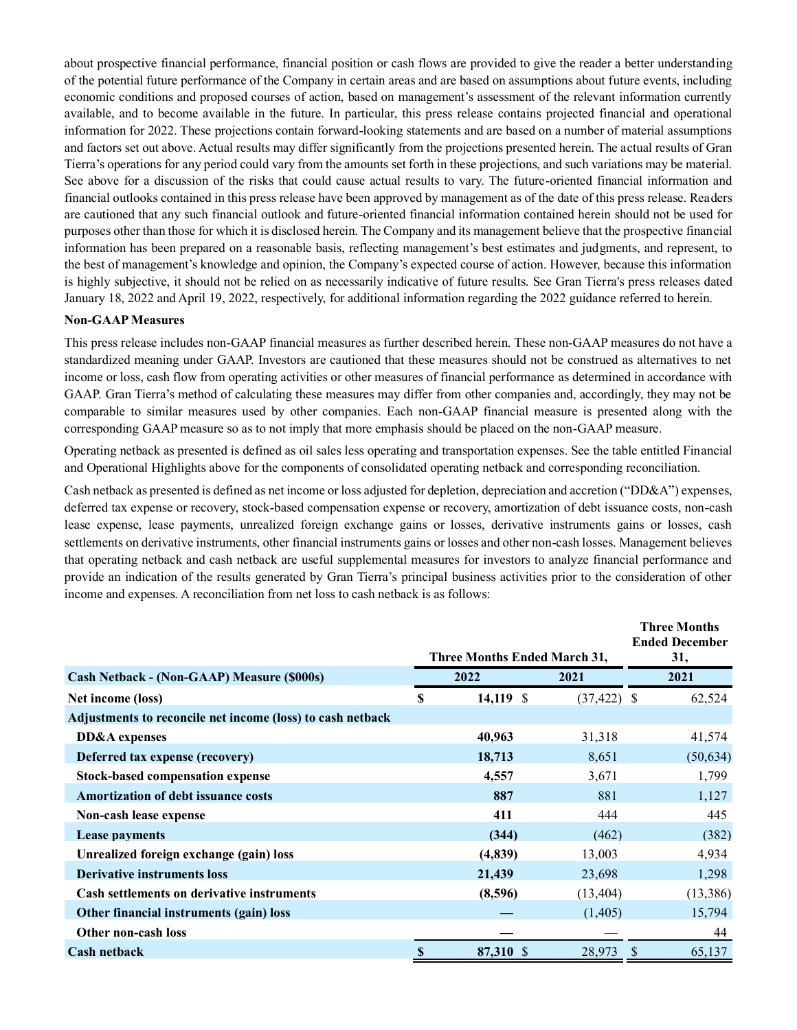about prospective financial performance, financial position or cash flows are provided to give the reader a better understanding of the potential future performance of the Company in certain areas and are based on assumptions about future events, including economic conditions and proposed courses of action, based on management's assessment of the relevant information currently available, and to become available in the future. In particular, this press release contains projected financial and operational information for 2022. These projections contain forward-looking statements and are based on a number of material assumptions and factors set out above. Actual results may differ significantly from the projections presented herein. The actual results of Gran Tierra's operations for any period could vary from the amounts set forth in these projections, and such variations may be material. See above for a discussion of the risks that could cause actual results to vary. The future-oriented financial information and financial outlooks contained in this press release have been approved by management as of the date of this press release. Readers are cautioned that any such financial outlook and future-oriented financial information contained herein should not be used for purposes other than those for which it is disclosed herein. The Company and its management believe that the prospective financial information has been prepared on a reasonable basis, reflecting management's best estimates and judgments, and represent, to the best of management's knowledge and opinion, the Company's expected course of action. However, because this information is highly subjective, it should not be relied on as necessarily indicative of future results. See Gran Tierra's press releases dated January 18, 2022 and April 19, 2022, respectively, for additional information regarding the 2022 guidance referred to herein.

# **Non-GAAP Measures**

This press release includes non-GAAP financial measures as further described herein. These non-GAAP measures do not have a standardized meaning under GAAP. Investors are cautioned that these measures should not be construed as alternatives to net income or loss, cash flow from operating activities or other measures of financial performance as determined in accordance with GAAP. Gran Tierra's method of calculating these measures may differ from other companies and, accordingly, they may not be comparable to similar measures used by other companies. Each non-GAAP financial measure is presented along with the corresponding GAAP measure so as to not imply that more emphasis should be placed on the non-GAAP measure.

Operating netback as presented is defined as oil sales less operating and transportation expenses. See the table entitled Financial and Operational Highlights above for the components of consolidated operating netback and corresponding reconciliation.

Cash netback as presented is defined as net income or loss adjusted for depletion, depreciation and accretion ("DD&A") expenses, deferred tax expense or recovery, stock-based compensation expense or recovery, amortization of debt issuance costs, non-cash lease expense, lease payments, unrealized foreign exchange gains or losses, derivative instruments gains or losses, cash settlements on derivative instruments, other financial instruments gains or losses and other non-cash losses. Management believes that operating netback and cash netback are useful supplemental measures for investors to analyze financial performance and provide an indication of the results generated by Gran Tierra's principal business activities prior to the consideration of other income and expenses. A reconciliation from net loss to cash netback is as follows:

|                                                            |          |                                     |                | <b>Three Months</b><br><b>Ended December</b> |
|------------------------------------------------------------|----------|-------------------------------------|----------------|----------------------------------------------|
|                                                            |          | <b>Three Months Ended March 31,</b> |                | 31,                                          |
| Cash Netback - (Non-GAAP) Measure (\$000s)                 |          | 2022                                | 2021           | 2021                                         |
| Net income (loss)                                          | <b>S</b> | 14,119 \$                           | $(37, 422)$ \$ | 62,524                                       |
| Adjustments to reconcile net income (loss) to cash netback |          |                                     |                |                                              |
| DD&A expenses                                              |          | 40,963                              | 31,318         | 41,574                                       |
| Deferred tax expense (recovery)                            |          | 18,713                              | 8,651          | (50, 634)                                    |
| <b>Stock-based compensation expense</b>                    |          | 4,557                               | 3,671          | 1,799                                        |
| <b>Amortization of debt issuance costs</b>                 |          | 887                                 | 881            | 1,127                                        |
| Non-cash lease expense                                     |          | 411                                 | 444            | 445                                          |
| Lease payments                                             |          | (344)                               | (462)          | (382)                                        |
| Unrealized foreign exchange (gain) loss                    |          | (4,839)                             | 13,003         | 4,934                                        |
| <b>Derivative instruments loss</b>                         |          | 21,439                              | 23,698         | 1,298                                        |
| Cash settlements on derivative instruments                 |          | (8,596)                             | (13, 404)      | (13,386)                                     |
| Other financial instruments (gain) loss                    |          |                                     | (1,405)        | 15,794                                       |
| Other non-cash loss                                        |          |                                     |                | 44                                           |
| <b>Cash netback</b>                                        |          | 87,310 \$                           | 28,973         | 65,137                                       |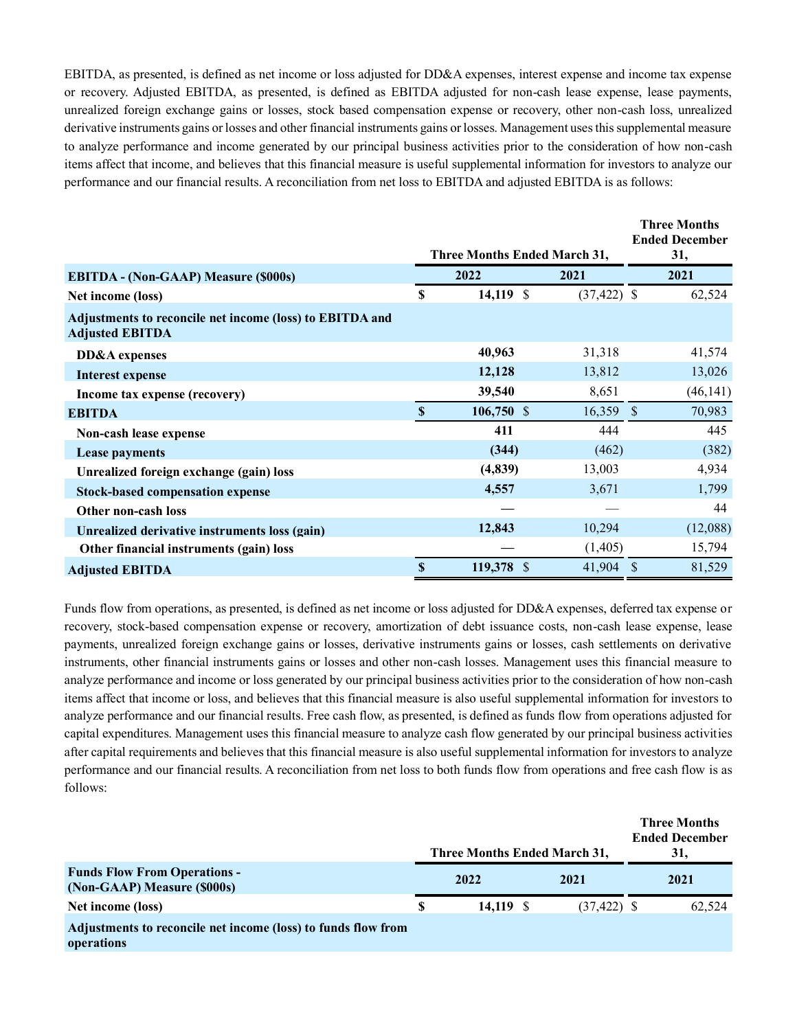EBITDA, as presented, is defined as net income or loss adjusted for DD&A expenses, interest expense and income tax expense or recovery. Adjusted EBITDA, as presented, is defined as EBITDA adjusted for non-cash lease expense, lease payments, unrealized foreign exchange gains or losses, stock based compensation expense or recovery, other non-cash loss, unrealized derivative instruments gains or losses and other financial instruments gains or losses. Management uses this supplemental measure to analyze performance and income generated by our principal business activities prior to the consideration of how non-cash items affect that income, and believes that this financial measure is useful supplemental information for investors to analyze our performance and our financial results. A reconciliation from net loss to EBITDA and adjusted EBITDA is as follows:

|                                                                                    |                           | <b>Three Months Ended March 31,</b> |                | <b>Three Months</b><br><b>Ended December</b><br>31, |
|------------------------------------------------------------------------------------|---------------------------|-------------------------------------|----------------|-----------------------------------------------------|
| <b>EBITDA - (Non-GAAP) Measure (\$000s)</b>                                        |                           | 2022                                | 2021           | 2021                                                |
| Net income (loss)                                                                  | S                         | $14,119$ \$                         | $(37, 422)$ \$ | 62,524                                              |
| Adjustments to reconcile net income (loss) to EBITDA and<br><b>Adjusted EBITDA</b> |                           |                                     |                |                                                     |
| DD&A expenses                                                                      |                           | 40,963                              | 31,318         | 41,574                                              |
| <b>Interest expense</b>                                                            |                           | 12,128                              | 13,812         | 13,026                                              |
| Income tax expense (recovery)                                                      |                           | 39,540                              | 8,651          | (46, 141)                                           |
| <b>EBITDA</b>                                                                      | $\boldsymbol{\mathsf{S}}$ | $106,750$ \$                        | $16,359$ \$    | 70,983                                              |
| Non-cash lease expense                                                             |                           | 411                                 | 444            | 445                                                 |
| <b>Lease payments</b>                                                              |                           | (344)                               | (462)          | (382)                                               |
| Unrealized foreign exchange (gain) loss                                            |                           | (4, 839)                            | 13,003         | 4,934                                               |
| <b>Stock-based compensation expense</b>                                            |                           | 4,557                               | 3,671          | 1,799                                               |
| <b>Other non-cash loss</b>                                                         |                           |                                     |                | 44                                                  |
| Unrealized derivative instruments loss (gain)                                      |                           | 12,843                              | 10,294         | (12,088)                                            |
| Other financial instruments (gain) loss                                            |                           |                                     | (1,405)        | 15,794                                              |
| <b>Adjusted EBITDA</b>                                                             | \$                        | 119,378 \$                          | 41,904 \$      | 81,529                                              |

Funds flow from operations, as presented, is defined as net income or loss adjusted for DD&A expenses, deferred tax expense or recovery, stock-based compensation expense or recovery, amortization of debt issuance costs, non-cash lease expense, lease payments, unrealized foreign exchange gains or losses, derivative instruments gains or losses, cash settlements on derivative instruments, other financial instruments gains or losses and other non-cash losses. Management uses this financial measure to analyze performance and income or loss generated by our principal business activities prior to the consideration of how non-cash items affect that income or loss, and believes that this financial measure is also useful supplemental information for investors to analyze performance and our financial results. Free cash flow, as presented, is defined as funds flow from operations adjusted for capital expenditures. Management uses this financial measure to analyze cash flow generated by our principal business activities after capital requirements and believes that this financial measure is also useful supplemental information for investors to analyze performance and our financial results. A reconciliation from net loss to both funds flow from operations and free cash flow is as follows:

|                                                                             |   | <b>Three Months Ended March 31,</b> |                | <b>Three Months</b><br><b>Ended December</b><br>31, |
|-----------------------------------------------------------------------------|---|-------------------------------------|----------------|-----------------------------------------------------|
| <b>Funds Flow From Operations -</b><br>(Non-GAAP) Measure (\$000s)          |   | 2022                                | 2021           | 2021                                                |
| Net income (loss)                                                           | S | 14.119 \$                           | $(37, 422)$ \$ | 62,524                                              |
| Adjustments to reconcile net income (loss) to funds flow from<br>operations |   |                                     |                |                                                     |